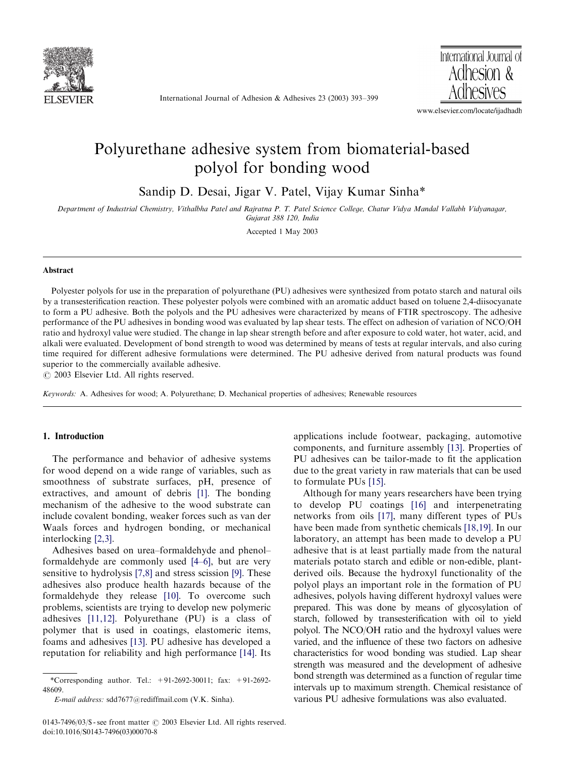

International Journal of Adhesion & Adhesives 23 (2003) 393–399

International Journal of Adhesion & Adhesives

www.elsevier.com/locate/ijadhadh

# Polyurethane adhesive system from biomaterial-based polyol for bondingwood

Sandip D. Desai, Jigar V. Patel, Vijay Kumar Sinha\*

Department of Industrial Chemistry, Vithalbha Patel and Rajratna P. T. Patel Science College, Chatur Vidya Mandal Vallabh Vidyanagar, Gujarat 388 120, India

Accepted 1 May 2003

## Abstract

Polyester polyols for use in the preparation of polyurethane (PU) adhesives were synthesized from potato starch and natural oils by a transesterification reaction. These polyester polyols were combined with an aromatic adduct based on toluene 2,4-diisocyanate to form a PU adhesive. Both the polyols and the PU adhesives were characterized by means of FTIR spectroscopy. The adhesive performance of the PU adhesives in bondingwood was evaluated by lap shear tests. The effect on adhesion of variation of NCO/OH ratio and hydroxyl value were studied. The change in lap shear strength before and after exposure to cold water, hot water, acid, and alkali were evaluated. Development of bond strength to wood was determined by means of tests at regular intervals, and also curing time required for different adhesive formulations were determined. The PU adhesive derived from natural products was found superior to the commercially available adhesive.

r 2003 Elsevier Ltd. All rights reserved.

Keywords: A. Adhesives for wood; A. Polyurethane; D. Mechanical properties of adhesives; Renewable resources

## 1. Introduction

The performance and behavior of adhesive systems for wood depend on a wide range of variables, such as smoothness of substrate surfaces, pH, presence of extractives, and amount of debris [\[1\]](#page-5-0). The bonding mechanism of the adhesive to the wood substrate can include covalent bonding, weaker forces such as van der Waals forces and hydrogen bonding, or mechanical interlocking [\[2,3\]](#page-5-0).

Adhesives based on urea–formaldehyde and phenol– formaldehyde are commonly used [\[4–6\],](#page-5-0) but are very sensitive to hydrolysis [\[7,8\]](#page-5-0) and stress scission [\[9\].](#page-5-0) These adhesives also produce health hazards because of the formaldehyde they release [\[10\]](#page-5-0). To overcome such problems, scientists are trying to develop new polymeric adhesives [\[11,12\]](#page-5-0). Polyurethane (PU) is a class of polymer that is used in coatings, elastomeric items, foams and adhesives [\[13\]](#page-5-0). PU adhesive has developed a reputation for reliability and high performance [\[14\].](#page-5-0) Its applications include footwear, packaging, automotive components, and furniture assembly [\[13\].](#page-5-0) Properties of PU adhesives can be tailor-made to fit the application due to the great variety in raw materials that can be used to formulate PUs [\[15\].](#page-5-0)

Although for many years researchers have been trying to develop PU coatings [\[16\]](#page-6-0) and interpenetrating networks from oils [\[17\],](#page-6-0) many different types of PUs have been made from synthetic chemicals [\[18,19\].](#page-6-0) In our laboratory, an attempt has been made to develop a PU adhesive that is at least partially made from the natural materials potato starch and edible or non-edible, plantderived oils. Because the hydroxyl functionality of the polyol plays an important role in the formation of PU adhesives, polyols having different hydroxyl values were prepared. This was done by means of glycosylation of starch, followed by transesterification with oil to yield polyol. The NCO/OH ratio and the hydroxyl values were varied, and the influence of these two factors on adhesive characteristics for wood bonding was studied. Lap shear strength was measured and the development of adhesive bond strength was determined as a function of regular time intervals up to maximum strength. Chemical resistance of various PU adhesive formulations was also evaluated.

<sup>\*</sup>Corresponding author. Tel.:  $+91-2692-30011$ ; fax:  $+91-2692-$ 48609.

E-mail address: sdd7677@rediffmail.com (V.K. Sinha).

<sup>0143-7496/03/\$ -</sup> see front matter  $\odot$  2003 Elsevier Ltd. All rights reserved. doi:10.1016/S0143-7496(03)00070-8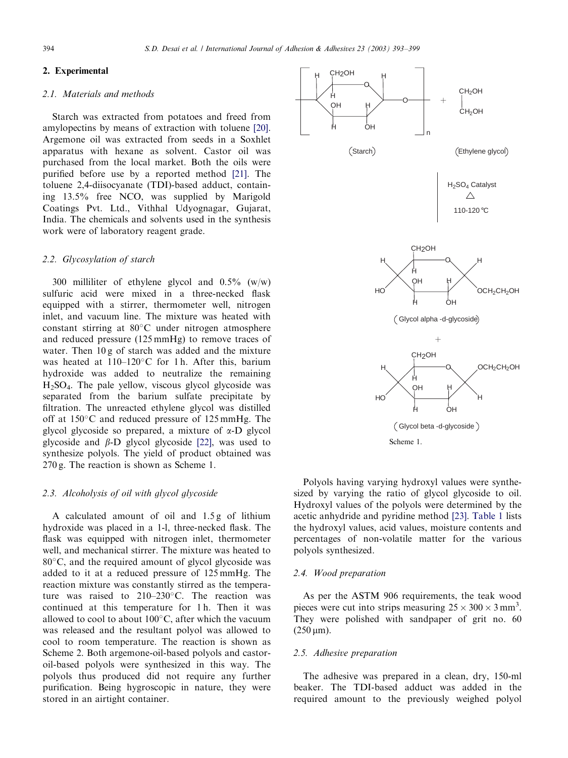# 2. Experimental

# 2.1. Materials and methods

Starch was extracted from potatoes and freed from amylopectins by means of extraction with toluene [\[20\]](#page-6-0). Argemone oil was extracted from seeds in a Soxhlet apparatus with hexane as solvent. Castor oil was purchased from the local market. Both the oils were purified before use by a reported method [\[21\].](#page-6-0) The toluene 2,4-diisocyanate (TDI)-based adduct, containing 13.5% free NCO, was supplied by Marigold Coatings Pvt. Ltd., Vithhal Udyognagar, Gujarat, India. The chemicals and solvents used in the synthesis work were of laboratory reagent grade.

## 2.2. Glycosylation of starch

300 milliliter of ethylene glycol and 0.5% (w/w) sulfuric acid were mixed in a three-necked flask equipped with a stirrer, thermometer well, nitrogen inlet, and vacuum line. The mixture was heated with constant stirring at  $80^{\circ}$ C under nitrogen atmosphere and reduced pressure (125 mmHg) to remove traces of water. Then  $10 g$  of starch was added and the mixture was heated at  $110-120^{\circ}$ C for 1 h. After this, barium hydroxide was added to neutralize the remaining H2SO4. The pale yellow, viscous glycol glycoside was separated from the barium sulfate precipitate by filtration. The unreacted ethylene glycol was distilled off at  $150^{\circ}$ C and reduced pressure of  $125$  mmHg. The glycol glycoside so prepared, a mixture of  $\alpha$ -D glycol glycoside and  $\beta$ -D glycol glycoside [\[22\],](#page-6-0) was used to synthesize polyols. The yield of product obtained was 270 g. The reaction is shown as Scheme 1.

#### 2.3. Alcoholysis of oil with glycol glycoside

A calculated amount of oil and  $1.5g$  of lithium hydroxide was placed in a 1-l, three-necked flask. The flask was equipped with nitrogen inlet, thermometer well, and mechanical stirrer. The mixture was heated to  $80^{\circ}$ C, and the required amount of glycol glycoside was added to it at a reduced pressure of 125 mmHg. The reaction mixture was constantly stirred as the temperature was raised to  $210-230$ °C. The reaction was continued at this temperature for 1 h. Then it was allowed to cool to about  $100^{\circ}$ C, after which the vacuum was released and the resultant polyol was allowed to cool to room temperature. The reaction is shown as Scheme 2. Both argemone-oil-based polyols and castoroil-based polyols were synthesized in this way. The polyols thus produced did not require any further purification. Being hygroscopic in nature, they were stored in an airtight container.



Polyols having varying hydroxyl values were synthesized by varying the ratio of glycol glycoside to oil. Hydroxyl values of the polyols were determined by the acetic anhydride and pyridine method [\[23\]](#page-6-0). [Table 1](#page-2-0) lists the hydroxyl values, acid values, moisture contents and percentages of non-volatile matter for the various polyols synthesized.

### 2.4. Wood preparation

As per the ASTM 906 requirements, the teak wood pieces were cut into strips measuring  $25 \times 300 \times 3$  mm<sup>3</sup>. They were polished with sandpaper of grit no. 60  $(250 \,\mu m)$ .

# 2.5. Adhesive preparation

The adhesive was prepared in a clean, dry, 150-ml beaker. The TDI-based adduct was added in the required amount to the previously weighed polyol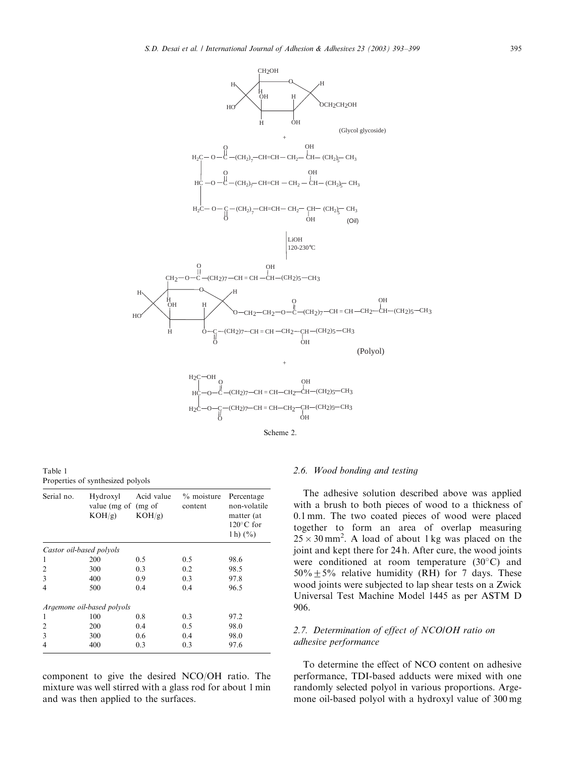<span id="page-2-0"></span>

Table 1 Properties of synthesized polyols

| Serial no.               | Hydroxyl<br>value (mg of (mg of<br>KOH/g | Acid value<br>$KOH/g$ ) | $%$ moisture<br>content | Percentage<br>non-volatile<br>matter (at<br>$120^{\circ}$ C for<br>1 h) $(\% )$ |
|--------------------------|------------------------------------------|-------------------------|-------------------------|---------------------------------------------------------------------------------|
| Castor oil-based polyols |                                          |                         |                         |                                                                                 |
| 1                        | 200                                      | 0.5                     | 0.5                     | 98.6                                                                            |
| $\overline{c}$           | 300                                      | 0.3                     | 0.2                     | 98.5                                                                            |
| 3                        | 400                                      | 0.9                     | 0.3                     | 97.8                                                                            |
| 4                        | 500                                      | 0.4                     | 0.4                     | 96.5                                                                            |
|                          | Argemone oil-based polyols               |                         |                         |                                                                                 |
| 1                        | 100                                      | 0.8                     | 0.3                     | 97.2                                                                            |
| $\overline{c}$           | 200                                      | 0.4                     | 0.5                     | 98.0                                                                            |
| 3                        | 300                                      | 0.6                     | 0.4                     | 98.0                                                                            |
| 4                        | 400                                      | 0.3                     | 0.3                     | 97.6                                                                            |

component to give the desired NCO/OH ratio. The mixture was well stirred with a glass rod for about 1 min and was then applied to the surfaces.

### 2.6. Wood bonding and testing

The adhesive solution described above was applied with a brush to both pieces of wood to a thickness of 0.1 mm. The two coated pieces of wood were placed together to form an area of overlap measuring  $25 \times 30$  mm<sup>2</sup>. A load of about 1 kg was placed on the joint and kept there for 24 h. After cure, the wood joints were conditioned at room temperature  $(30^{\circ}C)$  and  $50\% + 5\%$  relative humidity (RH) for 7 days. These wood joints were subjected to lap shear tests on a Zwick Universal Test Machine Model 1445 as per ASTM D 906.

# 2.7. Determination of effect of NCO/OH ratio on adhesive performance

To determine the effect of NCO content on adhesive performance, TDI-based adducts were mixed with one randomly selected polyol in various proportions. Argemone oil-based polyol with a hydroxyl value of 300 mg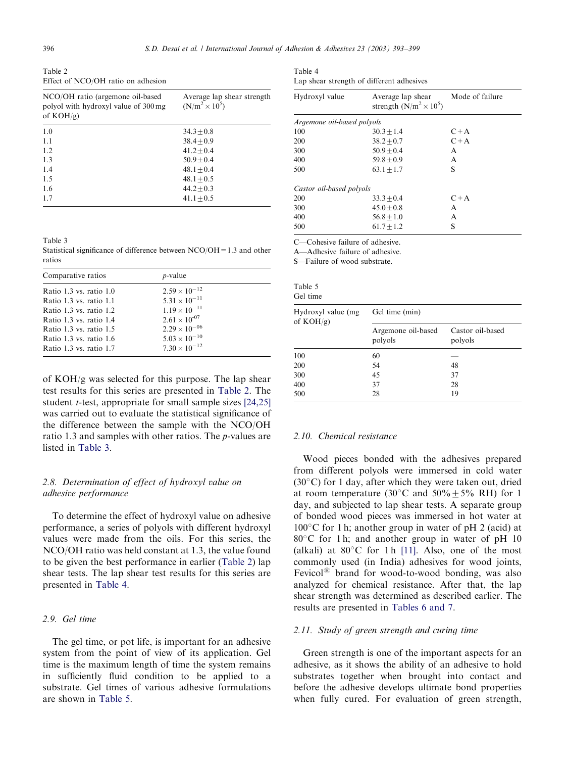<span id="page-3-0"></span>Table 2 Effect of NCO/OH ratio on adhesion

| Average lap shear strength<br>$(N/m^2 \times 10^5)$ |
|-----------------------------------------------------|
| $34.3 + 0.8$                                        |
| $38.4 + 0.9$                                        |
| $41.2 + 0.4$                                        |
| $50.9 + 0.4$                                        |
| $48.1 + 0.4$                                        |
| $48.1 + 0.5$                                        |
| $44.2 + 0.3$                                        |
| $41.1 + 0.5$                                        |
|                                                     |

Table 3

Statistical significance of difference between NCO/OH=1.3 and other ratios

| $2.59 \times 10^{-12}$<br>Ratio 1.3 vs. ratio 1.0<br>$5.31 \times 10^{-11}$<br>Ratio 1.3 vs. ratio 1.1<br>$1.19 \times 10^{-11}$<br>Ratio 1.3 vs. ratio 1.2<br>$2.61 \times 10^{-07}$<br>Ratio 1.3 vs. ratio 1.4<br>$2.29 \times 10^{-06}$<br>Ratio 1.3 vs. ratio 1.5<br>$5.03 \times 10^{-10}$<br>Ratio 1.3 vs. ratio 1.6<br>$7.30 \times 10^{-12}$<br>Ratio 1.3 vs. ratio 1.7 | Comparative ratios | <i>p</i> -value |
|---------------------------------------------------------------------------------------------------------------------------------------------------------------------------------------------------------------------------------------------------------------------------------------------------------------------------------------------------------------------------------|--------------------|-----------------|
|                                                                                                                                                                                                                                                                                                                                                                                 |                    |                 |

of  $KOH/g$  was selected for this purpose. The lap shear test results for this series are presented in Table 2. The student *t*-test, appropriate for small sample sizes [\[24,25\]](#page-6-0) was carried out to evaluate the statistical significance of the difference between the sample with the NCO/OH ratio 1.3 and samples with other ratios. The p-values are listed in Table 3.

# 2.8. Determination of effect of hydroxyl value on adhesive performance

To determine the effect of hydroxyl value on adhesive performance, a series of polyols with different hydroxyl values were made from the oils. For this series, the NCO/OH ratio was held constant at 1.3, the value found to be given the best performance in earlier (Table 2) lap shear tests. The lap shear test results for this series are presented in Table 4.

## 2.9. Gel time

The gel time, or pot life, is important for an adhesive system from the point of view of its application. Gel time is the maximum length of time the system remains in sufficiently fluid condition to be applied to a substrate. Gel times of various adhesive formulations are shown in Table 5.

| Table 4                                   |  |  |  |
|-------------------------------------------|--|--|--|
| Lap shear strength of different adhesives |  |  |  |

| Hydroxyl value             | Average lap shear<br>strength $(N/m^2 \times 10^5)$ | Mode of failure |
|----------------------------|-----------------------------------------------------|-----------------|
| Argemone oil-based polyols |                                                     |                 |
| 100                        | $30.3 + 1.4$                                        | $C+A$           |
| 200                        | $38.2 + 0.7$                                        | $C+A$           |
| 300                        | $50.9 + 0.4$                                        | A               |
| 400                        | $59.8 + 0.9$                                        | A               |
| 500                        | $63.1 + 1.7$                                        | S               |
| Castor oil-based polyols   |                                                     |                 |
| 200                        | $33.3 + 0.4$                                        | $C+A$           |
| 300                        | $45.0 + 0.8$                                        | A               |
| 400                        | $56.8 + 1.0$                                        | A               |
| 500                        | $61.7 + 1.2$                                        | S               |

C—Cohesive failure of adhesive.

A—Adhesive failure of adhesive.

S—Failure of wood substrate.

| Table 5  |  |  |
|----------|--|--|
| Gel time |  |  |

| Hydroxyl value (mg<br>of $KOH/g$ ) | Gel time (min)                |                             |  |
|------------------------------------|-------------------------------|-----------------------------|--|
|                                    | Argemone oil-based<br>polyols | Castor oil-based<br>polyols |  |
| 100                                | 60                            |                             |  |
| 200                                | 54                            | 48                          |  |
| 300                                | 45                            | 37                          |  |
| 400                                | 37                            | 28                          |  |
| 500                                | 28                            | 19                          |  |

### 2.10. Chemical resistance

Wood pieces bonded with the adhesives prepared from different polyols were immersed in cold water  $(30^{\circ}$ C) for 1 day, after which they were taken out, dried at room temperature (30 $\degree$ C and 50 $\%$  + 5 $\%$  RH) for 1 day, and subjected to lap shear tests. A separate group of bonded wood pieces was immersed in hot water at  $100^{\circ}$ C for 1 h; another group in water of pH 2 (acid) at  $80^{\circ}$ C for 1 h; and another group in water of pH 10 (alkali) at  $80^{\circ}$ C for 1 h [\[11\].](#page-5-0) Also, one of the most commonly used (in India) adhesives for wood joints, Fevicol $^{(8)}$  brand for wood-to-wood bonding, was also analyzed for chemical resistance. After that, the lap shear strength was determined as described earlier. The results are presented in [Tables 6 and 7.](#page-4-0)

#### 2.11. Study of green strength and curing time

Green strength is one of the important aspects for an adhesive, as it shows the ability of an adhesive to hold substrates together when brought into contact and before the adhesive develops ultimate bond properties when fully cured. For evaluation of green strength,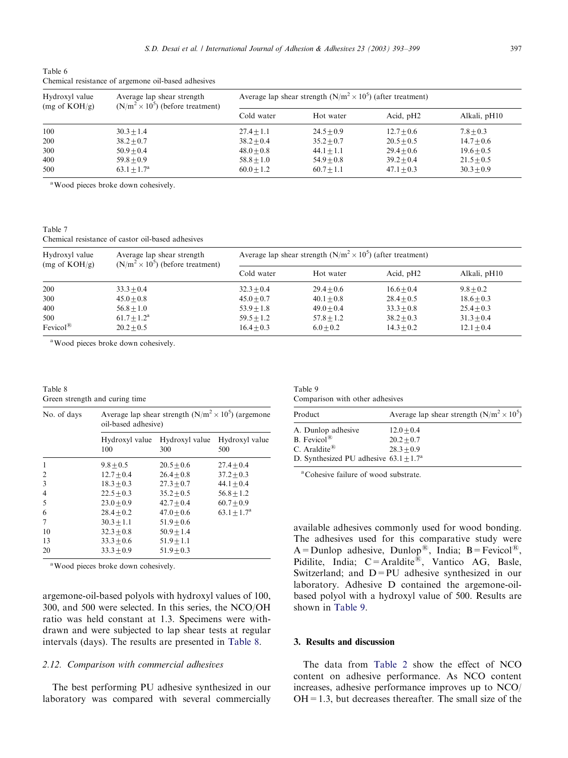| Hydroxyl value          | Average lap shear strength               | Average lap shear strength $(N/m^2 \times 10^5)$ (after treatment) |              |                |                |  |
|-------------------------|------------------------------------------|--------------------------------------------------------------------|--------------|----------------|----------------|--|
| $(mg \text{ of KOH/g})$ | $(N/m^2 \times 10^5)$ (before treatment) | Cold water                                                         | Hot water    | Acid, $pH2$    | Alkali, pH10   |  |
| 100                     | $30.3 + 1.4$                             | $27.4 + 1.1$                                                       | $24.5 + 0.9$ | $12.7 + 0.6$   | $7.8 + 0.3$    |  |
| 200                     | $38.2 + 0.7$                             | $38.2 + 0.4$                                                       | $35.2 + 0.7$ | $20.5 + 0.5$   | $14.7 + 0.6$   |  |
| 300                     | $50.9 + 0.4$                             | $48.0 + 0.8$                                                       | $44.1 + 1.1$ | $29.4 + 0.6$   | $19.6 + 0.5$   |  |
| 400                     | $59.8 + 0.9$                             | $58.8 + 1.0$                                                       | $54.9 + 0.8$ | $39.2 \pm 0.4$ | $21.5 \pm 0.5$ |  |
| 500                     | $63.1 + 1.7^a$                           | $60.0 + 1.2$                                                       | $60.7 + 1.1$ | $47.1 + 0.3$   | $30.3 + 0.9$   |  |

<span id="page-4-0"></span>Table 6 Chemical resistance of argemone oil-based adhesives

<sup>a</sup>Wood pieces broke down cohesively.

Table 7 Chemical resistance of castor oil-based adhesives

| Hydroxyl value<br>$(mg \text{ of KOH/g})$ | Average lap shear strength<br>$(N/m^2 \times 10^5)$ (before treatment) | Average lap shear strength $(N/m^2 \times 10^5)$ (after treatment) |              |              |              |
|-------------------------------------------|------------------------------------------------------------------------|--------------------------------------------------------------------|--------------|--------------|--------------|
|                                           |                                                                        | Cold water                                                         | Hot water    | Acid, $pH2$  | Alkali, pH10 |
| 200                                       | $33.3 + 0.4$                                                           | $32.3 + 0.4$                                                       | $29.4 + 0.6$ | $16.6 + 0.4$ | $9.8 + 0.2$  |
| 300                                       | $45.0 + 0.8$                                                           | $45.0 + 0.7$                                                       | $40.1 + 0.8$ | $28.4 + 0.5$ | $18.6 + 0.3$ |
| 400                                       | $56.8 + 1.0$                                                           | $53.9 + 1.8$                                                       | $49.0 + 0.4$ | $33.3 + 0.8$ | $25.4 + 0.3$ |
| 500                                       | $61.7 + 1.2^a$                                                         | $59.5 + 1.2$                                                       | $57.8 + 1.2$ | $38.2 + 0.3$ | $31.3 + 0.4$ |
| $Fevicol^{\circledR}$                     | $20.2 + 0.5$                                                           | $16.4 + 0.3$                                                       | $6.0 + 0.2$  | $14.3 + 0.2$ | $12.1 + 0.4$ |

<sup>a</sup>Wood pieces broke down cohesively.

Table 8 Green strength and curing time

| No. of days    | Average lap shear strength $(N/m^2 \times 10^5)$ (argemone<br>oil-based adhesive) |                       |                       |  |  |
|----------------|-----------------------------------------------------------------------------------|-----------------------|-----------------------|--|--|
|                | Hydroxyl value<br>100                                                             | Hydroxyl value<br>300 | Hydroxyl value<br>500 |  |  |
| 1              | $9.8 \pm 0.5$                                                                     | $20.5 + 0.6$          | $27.4 + 0.4$          |  |  |
| $\overline{2}$ | $12.7 + 0.4$                                                                      | $26.4 + 0.8$          | $37.2 + 0.3$          |  |  |
| 3              | $18.3 + 0.3$                                                                      | $27.3 + 0.7$          | $44.1 + 0.4$          |  |  |
| $\overline{4}$ | $22.5 + 0.3$                                                                      | $35.2 + 0.5$          | $56.8 + 1.2$          |  |  |
| 5              | $23.0 + 0.9$                                                                      | $42.7 + 0.4$          | $60.7 + 0.9$          |  |  |
| 6              | $28.4 + 0.2$                                                                      | $47.0 + 0.6$          | $63.1 + 1.7a$         |  |  |
| 7              | $30.3 + 1.1$                                                                      | $51.9 + 0.6$          |                       |  |  |
| 10             | $32.3 + 0.8$                                                                      | $50.9 + 1.4$          |                       |  |  |
| 13             | $33.3 + 0.6$                                                                      | $51.9 + 1.1$          |                       |  |  |
| 20             | $33.3 + 0.9$                                                                      | $51.9 + 0.3$          |                       |  |  |

<sup>a</sup>Wood pieces broke down cohesively.

argemone-oil-based polyols with hydroxyl values of 100, 300, and 500 were selected. In this series, the NCO/OH ratio was held constant at 1.3. Specimens were withdrawn and were subjected to lap shear tests at regular intervals (days). The results are presented in Table 8.

# 2.12. Comparison with commercial adhesives

The best performing PU adhesive synthesized in our laboratory was compared with several commercially

Table 9 Comparison with other adhesives

| Product                                         | Average lap shear strength $(N/m^2 \times 10^5)$ |
|-------------------------------------------------|--------------------------------------------------|
| A. Dunlop adhesive                              | $12.0 + 0.4$                                     |
| B. Fevicol®                                     | $20.2 + 0.7$                                     |
| C. Araldite <sup><math>B</math></sup>           | $28.3 + 0.9$                                     |
| D. Synthesized PU adhesive $63.1 + 1.7^{\circ}$ |                                                  |

<sup>a</sup>Cohesive failure of wood substrate.

available adhesives commonly used for wood bonding. The adhesives used for this comparative study were  $A =$ Dunlop adhesive, Dunlop<sup>®</sup>, India; B = Fevicol<sup>®</sup>, Pidilite, India;  $C = \text{Araddite}^{\textcircled{f\!i}}$ , Vantico AG, Basle, Switzerland; and  $D=PU$  adhesive synthesized in our laboratory. Adhesive D contained the argemone-oilbased polyol with a hydroxyl value of 500. Results are shown in Table 9.

## 3. Results and discussion

The data from [Table 2](#page-3-0) show the effect of NCO content on adhesive performance. As NCO content increases, adhesive performance improves up to NCO/  $OH = 1.3$ , but decreases thereafter. The small size of the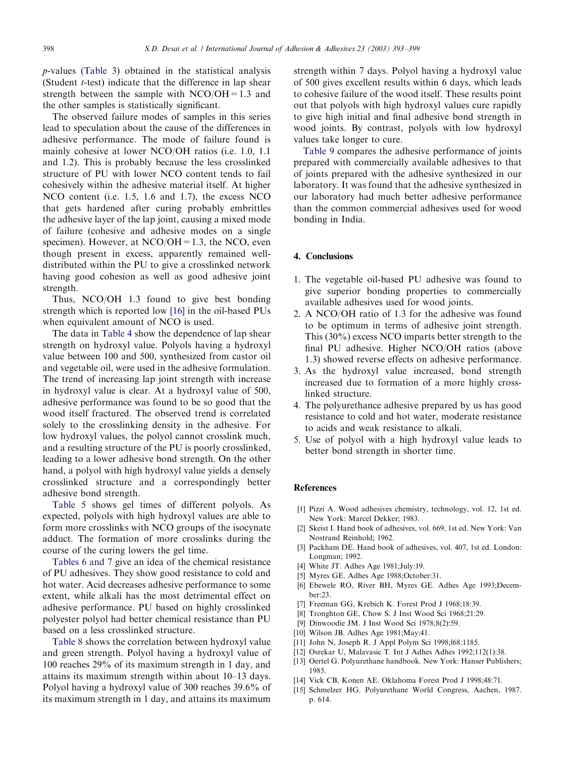<span id="page-5-0"></span>p-values [\(Table 3](#page-3-0)) obtained in the statistical analysis (Student  $t$ -test) indicate that the difference in lap shear strength between the sample with  $NCO/OH=1.3$  and the other samples is statistically significant.

The observed failure modes of samples in this series lead to speculation about the cause of the differences in adhesive performance. The mode of failure found is mainly cohesive at lower NCO/OH ratios (i.e. 1.0, 1.1 and 1.2). This is probably because the less crosslinked structure of PU with lower NCO content tends to fail cohesively within the adhesive material itself. At higher NCO content (i.e. 1.5, 1.6 and 1.7), the excess NCO that gets hardened after curing probably embrittles the adhesive layer of the lap joint, causinga mixed mode of failure (cohesive and adhesive modes on a single specimen). However, at  $NCO/OH = 1.3$ , the NCO, even though present in excess, apparently remained welldistributed within the PU to give a crosslinked network having good cohesion as well as good adhesive joint strength.

Thus, NCO/OH 1.3 found to give best bonding strength which is reported low [\[16\]](#page-6-0) in the oil-based PUs when equivalent amount of NCO is used.

The data in [Table 4](#page-3-0) show the dependence of lap shear strength on hydroxyl value. Polyols having a hydroxyl value between 100 and 500, synthesized from castor oil and vegetable oil, were used in the adhesive formulation. The trend of increasing lap joint strength with increase in hydroxyl value is clear. At a hydroxyl value of 500, adhesive performance was found to be so good that the wood itself fractured. The observed trend is correlated solely to the crosslinking density in the adhesive. For low hydroxyl values, the polyol cannot crosslink much, and a resulting structure of the PU is poorly crosslinked, leading to a lower adhesive bond strength. On the other hand, a polyol with high hydroxyl value yields a densely crosslinked structure and a correspondingly better adhesive bond strength.

[Table 5](#page-3-0) shows gel times of different polyols. As expected, polyols with high hydroxyl values are able to form more crosslinks with NCO groups of the isocynate adduct. The formation of more crosslinks during the course of the curing lowers the gel time.

[Tables 6 and 7](#page-4-0) give an idea of the chemical resistance of PU adhesives. They show good resistance to cold and hot water. Acid decreases adhesive performance to some extent, while alkali has the most detrimental effect on adhesive performance. PU based on highly crosslinked polyester polyol had better chemical resistance than PU based on a less crosslinked structure.

[Table 8](#page-4-0) shows the correlation between hydroxyl value and green strength. Polyol having a hydroxyl value of 100 reaches 29% of its maximum strength in 1 day, and attains its maximum strength within about 10–13 days. Polyol havinga hydroxyl value of 300 reaches 39.6% of its maximum strength in 1 day, and attains its maximum

strength within 7 days. Polyol having a hydroxyl value of 500 gives excellent results within 6 days, which leads to cohesive failure of the wood itself. These results point out that polyols with high hydroxyl values cure rapidly to give high initial and final adhesive bond strength in wood joints. By contrast, polyols with low hydroxyl values take longer to cure.

[Table 9](#page-4-0) compares the adhesive performance of joints prepared with commercially available adhesives to that of joints prepared with the adhesive synthesized in our laboratory. It was found that the adhesive synthesized in our laboratory had much better adhesive performance than the common commercial adhesives used for wood bonding in India.

#### 4. Conclusions

- 1. The vegetable oil-based PU adhesive was found to give superior bonding properties to commercially available adhesives used for wood joints.
- 2. A NCO/OH ratio of 1.3 for the adhesive was found to be optimum in terms of adhesive joint strength. This (30%) excess NCO imparts better strength to the final PU adhesive. Higher NCO/OH ratios (above 1.3) showed reverse effects on adhesive performance.
- 3. As the hydroxyl value increased, bond strength increased due to formation of a more highly crosslinked structure.
- 4. The polyurethance adhesive prepared by us has good resistance to cold and hot water, moderate resistance to acids and weak resistance to alkali.
- 5. Use of polyol with a high hydroxyl value leads to better bond strength in shorter time.

## **References**

- [1] Pizzi A. Wood adhesives chemistry, technology, vol. 12, 1st ed. New York: Marcel Dekker; 1983.
- [2] Skeist I. Hand book of adhesives, vol. 669, 1st ed. New York: Van Nostrand Reinhold; 1962.
- [3] Packham DE. Hand book of adhesives, vol. 407, 1st ed. London: Longman; 1992.
- [4] White JT. Adhes Age 1981;July:19.
- [5] Myres GE. Adhes Age 1988;October:31.
- [6] Ebewele RO, River BH, Myres GE. Adhes Age 1993;December:23.
- [7] Freeman GG, Krebich K. Forest Prod J 1968;18:39.
- [8] Tronghton GE, Chow S. J Inst Wood Sci 1968;21:29.
- [9] Dinwoodie JM. J Inst Wood Sci 1978;8(2):59.
- [10] Wilson JB. Adhes Age 1981;May:41.
- [11] John N, Joseph R. J Appl Polym Sci 1998;l68:1185.
- [12] Osrekar U, Malavasic T. Int J Adhes Adhes 1992;112(1):38.
- [13] Oertel G. Polyurethane handbook. New York: Hanser Publishers; 1985.
- [14] Vick CB, Konen AE. Oklahoma Forest Prod J 1998;48:71.
- [15] Schmelzer HG. Polyurethane World Congress, Aachen, 1987. p. 614.